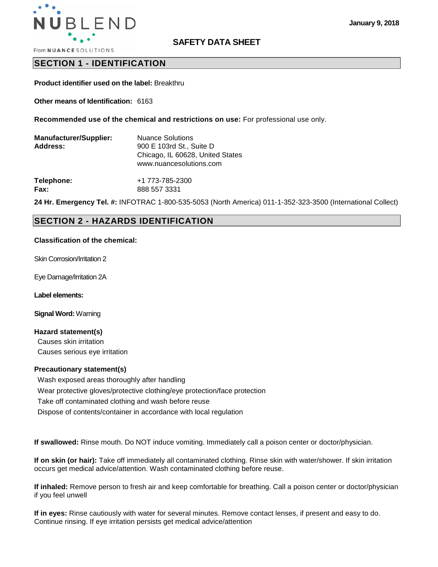

### **SAFETY DATA SHEET**

**From NUANCE SOLUTIONS** 

# **SECTION 1 - IDENTIFICATION**

**Product identifier used on the label:** Breakthru

**Other means of Identification:** 6163

**Recommended use of the chemical and restrictions on use:** For professional use only.

| <b>Manufacturer/Supplier:</b><br>Address: | <b>Nuance Solutions</b><br>900 E 103rd St., Suite D<br>Chicago, IL 60628, United States<br>www.nuancesolutions.com |  |  |
|-------------------------------------------|--------------------------------------------------------------------------------------------------------------------|--|--|
| Telephone:                                | +1 773-785-2300                                                                                                    |  |  |
| Fax:                                      | 888 557 3331                                                                                                       |  |  |

**24 Hr. Emergency Tel. #:** INFOTRAC 1-800-535-5053 (North America) 011-1-352-323-3500 (International Collect)

# **SECTION 2 - HAZARDS IDENTIFICATION**

#### **Classification of the chemical:**

Skin Corrosion/Irritation 2

Eye Damage/Irritation 2A

**Label elements:** 

**Signal Word:** Warning

#### **Hazard statement(s)**

Causes skin irritation Causes serious eye irritation

#### **Precautionary statement(s)**

Wash exposed areas thoroughly after handling Wear protective gloves/protective clothing/eye protection/face protection Take off contaminated clothing and wash before reuse Dispose of contents/container in accordance with local regulation

**If swallowed:** Rinse mouth. Do NOT induce vomiting. Immediately call a poison center or doctor/physician.

**If on skin (or hair):** Take off immediately all contaminated clothing. Rinse skin with water/shower. If skin irritation occurs get medical advice/attention. Wash contaminated clothing before reuse.

**If inhaled:** Remove person to fresh air and keep comfortable for breathing. Call a poison center or doctor/physician if you feel unwell

**If in eyes:** Rinse cautiously with water for several minutes. Remove contact lenses, if present and easy to do. Continue rinsing. If eye irritation persists get medical advice/attention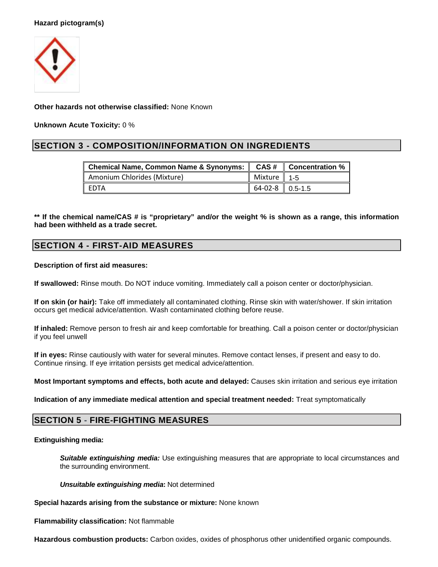### **Hazard pictogram(s)**



**Other hazards not otherwise classified:** None Known

**Unknown Acute Toxicity:** 0 %

# **SECTION 3 - COMPOSITION/INFORMATION ON INGREDIENTS**

| 「Chemical Name, Common Name & Synonyms: ‖ CAS # ‖ Concentration % |                                         |  |  |
|-------------------------------------------------------------------|-----------------------------------------|--|--|
| Amonium Chlorides (Mixture)                                       | $\parallel$ Mixture $\parallel$ 1-5     |  |  |
| I FDTA                                                            | $\parallel$ 64-02-8 $\parallel$ 0.5-1.5 |  |  |

**\*\* If the chemical name/CAS # is "proprietary" and/or the weight % is shown as a range, this information had been withheld as a trade secret.** 

# **SECTION 4 - FIRST-AID MEASURES**

### **Description of first aid measures:**

**If swallowed:** Rinse mouth. Do NOT induce vomiting. Immediately call a poison center or doctor/physician.

**If on skin (or hair):** Take off immediately all contaminated clothing. Rinse skin with water/shower. If skin irritation occurs get medical advice/attention. Wash contaminated clothing before reuse.

**If inhaled:** Remove person to fresh air and keep comfortable for breathing. Call a poison center or doctor/physician if you feel unwell

**If in eyes:** Rinse cautiously with water for several minutes. Remove contact lenses, if present and easy to do. Continue rinsing. If eye irritation persists get medical advice/attention.

**Most Important symptoms and effects, both acute and delayed:** Causes skin irritation and serious eye irritation

**Indication of any immediate medical attention and special treatment needed:** Treat symptomatically

### **SECTION 5 - FIRE-FIGHTING MEASURES**

### **Extinguishing media:**

**Suitable extinguishing media:** Use extinguishing measures that are appropriate to local circumstances and the surrounding environment.

**Unsuitable extinguishing media:** Not determined

**Special hazards arising from the substance or mixture:** None known

**Flammability classification:** Not flammable

**Hazardous combustion products:** Carbon oxides, oxides of phosphorus other unidentified organic compounds.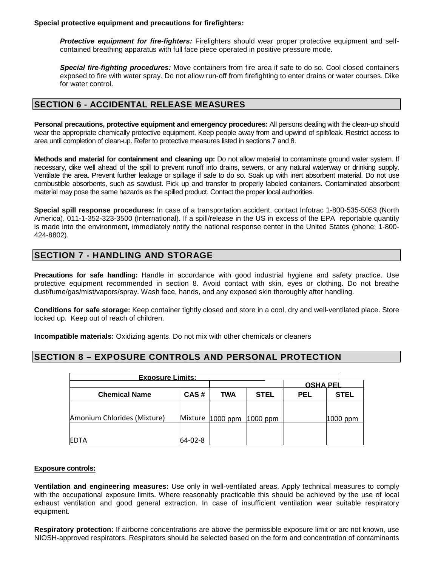**Special protective equipment and precautions for firefighters:** 

**Protective equipment for fire-fighters:** Firelighters should wear proper protective equipment and selfcontained breathing apparatus with full face piece operated in positive pressure mode.

**Special fire-fighting procedures:** Move containers from fire area if safe to do so. Cool closed containers exposed to fire with water spray. Do not allow run-off from firefighting to enter drains or water courses. Dike for water control.

# **SECTION 6 - ACCIDENTAL RELEASE MEASURES**

**Personal precautions, protective equipment and emergency procedures:** All persons dealing with the clean-up should wear the appropriate chemically protective equipment. Keep people away from and upwind of spilt/leak. Restrict access to area until completion of clean-up. Refer to protective measures listed in sections 7 and 8.

**Methods and material for containment and cleaning up:** Do not allow material to contaminate ground water system. If necessary, dike well ahead of the spill to prevent runoff into drains, sewers, or any natural waterway or drinking supply. Ventilate the area. Prevent further leakage or spillage if safe to do so. Soak up with inert absorbent material. Do not use combustible absorbents, such as sawdust. Pick up and transfer to properly labeled containers. Contaminated absorbent material may pose the same hazards as the spilled product. Contact the proper local authorities.

**Special spill response procedures:** In case of a transportation accident, contact Infotrac 1-800-535-5053 (North America), 011-1-352-323-3500 (International). If a spill/release in the US in excess of the EPA reportable quantity is made into the environment, immediately notify the national response center in the United States (phone: 1-800- 424-8802).

# **SECTION 7 - HANDLING AND STORAGE**

**Precautions for safe handling:** Handle in accordance with good industrial hygiene and safety practice. Use protective equipment recommended in section 8. Avoid contact with skin, eyes or clothing. Do not breathe dust/fume/gas/mist/vapors/spray. Wash face, hands, and any exposed skin thoroughly after handling.

**Conditions for safe storage:** Keep container tightly closed and store in a cool, dry and well-ventilated place. Store locked up. Keep out of reach of children.

**Incompatible materials:** Oxidizing agents. Do not mix with other chemicals or cleaners

### **SECTION 8 – EXPOSURE CONTROLS AND PERSONAL PROTECTION**

| <b>Exposure Limits:</b>     |         |                  |             |                 |             |
|-----------------------------|---------|------------------|-------------|-----------------|-------------|
|                             |         |                  |             | <b>OSHA PEL</b> |             |
| <b>Chemical Name</b>        | CAS#    | TWA              | <b>STEL</b> | <b>PEL</b>      | <b>STEL</b> |
| Amonium Chlorides (Mixture) |         | Mixture 1000 ppm | $1000$ ppm  |                 | 1000 ppm    |
| <b>IEDTA</b>                | 64-02-8 |                  |             |                 |             |

### **Exposure controls:**

**Ventilation and engineering measures:** Use only in well-ventilated areas. Apply technical measures to comply with the occupational exposure limits. Where reasonably practicable this should be achieved by the use of local exhaust ventilation and good general extraction. In case of insufficient ventilation wear suitable respiratory equipment.

**Respiratory protection:** If airborne concentrations are above the permissible exposure limit or arc not known, use NIOSH-approved respirators. Respirators should be selected based on the form and concentration of contaminants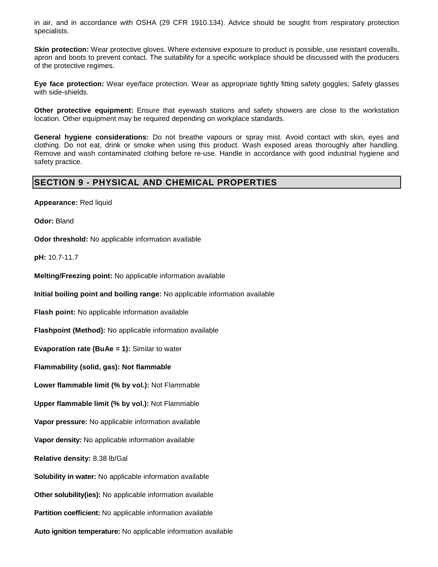in air, and in accordance with OSHA (29 CFR 1910.134). Advice should be sought from respiratory protection specialists.

**Skin protection:** Wear protective gloves. Where extensive exposure to product is possible, use resistant coveralls, apron and boots to prevent contact. The suitability for a specific workplace should be discussed with the producers of the protective regimes.

**Eye face protection:** Wear eye/face protection. Wear as appropriate tightly fitting safety goggles; Safety glasses with side-shields.

**Other protective equipment:** Ensure that eyewash stations and safety showers are close to the workstation location. Other equipment may be required depending on workplace standards.

**General hygiene considerations:** Do not breathe vapours or spray mist. Avoid contact with skin, eyes and clothing. Do not eat, drink or smoke when using this product. Wash exposed areas thoroughly after handling. Remove and wash contaminated clothing before re-use. Handle in accordance with good industrial hygiene and safety practice.

# **SECTION 9 - PHYSICAL AND CHEMICAL PROPERTIES**

**Appearance:** Red liquid

**Odor:** Bland

**Odor threshold:** No applicable information available

**pH:** 10.7-11.7

**Melting/Freezing point:** No applicable information available

**Initial boiling point and boiling range:** No applicable information available

**Flash point:** No applicable information available

**Flashpoint (Method):** No applicable information available

**Evaporation rate (BuAe = 1):** Similar to water

**Flammability (solid, gas): Not flammable** 

**Lower flammable limit (% by vol.):** Not Flammable

**Upper flammable limit (% by vol.):** Not Flammable

**Vapor pressure:** No applicable information available

**Vapor density:** No applicable information available

**Relative density:** 8.38 lb/Gal

**Solubility in water:** No applicable information available

**Other solubility(ies):** No applicable information available

**Partition coefficient:** No applicable information available

**Auto ignition temperature:** No applicable information available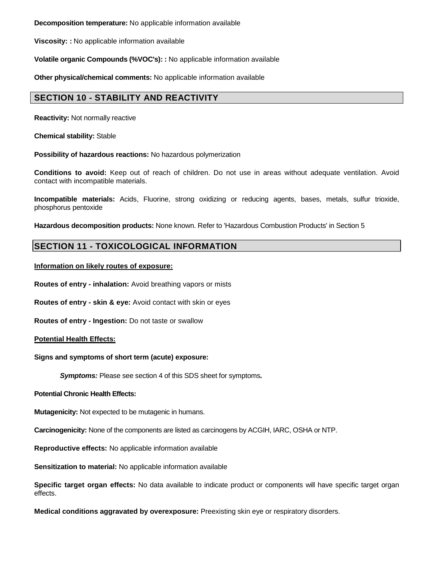**Decomposition temperature:** No applicable information available

**Viscosity: :** No applicable information available

**Volatile organic Compounds (%VOC's): :** No applicable information available

**Other physical/chemical comments:** No applicable information available

# **SECTION 10 - STABILITY AND REACTIVITY**

**Reactivity:** Not normally reactive

**Chemical stability:** Stable

**Possibility of hazardous reactions:** No hazardous polymerization

**Conditions to avoid:** Keep out of reach of children. Do not use in areas without adequate ventilation. Avoid contact with incompatible materials.

**Incompatible materials:** Acids, Fluorine, strong oxidizing or reducing agents, bases, metals, sulfur trioxide, phosphorus pentoxide

**Hazardous decomposition products:** None known. Refer to 'Hazardous Combustion Products' in Section 5

# **SECTION 11 - TOXICOLOGICAL INFORMATION**

### **Information on likely routes of exposure:**

**Routes of entry - inhalation:** Avoid breathing vapors or mists

**Routes of entry - skin & eye:** Avoid contact with skin or eyes

**Routes of entry - Ingestion:** Do not taste or swallow

**Potential Health Effects:** 

**Signs and symptoms of short term (acute) exposure:** 

**Symptoms:** Please see section 4 of this SDS sheet for symptoms**.**

**Potential Chronic Health Effects:**

**Mutagenicity:** Not expected to be mutagenic in humans.

**Carcinogenicity:** None of the components are listed as carcinogens by ACGIH, IARC, OSHA or NTP.

**Reproductive effects:** No applicable information available

**Sensitization to material:** No applicable information available

**Specific target organ effects:** No data available to indicate product or components will have specific target organ effects.

**Medical conditions aggravated by overexposure:** Preexisting skin eye or respiratory disorders.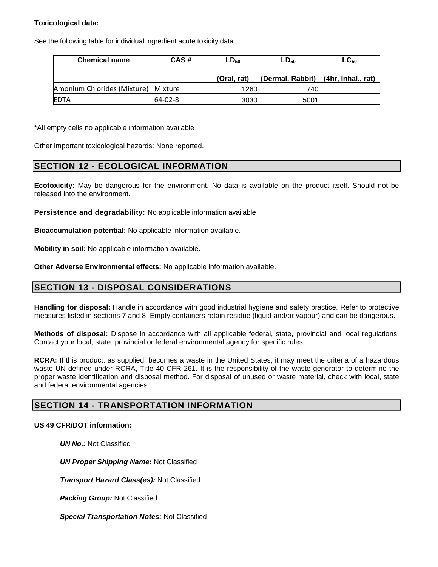### **Toxicological data:**

See the following table for individual ingredient acute toxicity data.

| <b>Chemical name</b>        | CAS#    | $LD_{50}$   | $LD_{50}$                             | $LC_{50}$ |
|-----------------------------|---------|-------------|---------------------------------------|-----------|
|                             |         | (Oral, rat) | (Dermal. Rabbit)   (4hr, Inhal., rat) |           |
| Amonium Chlorides (Mixture) | Mixture | 1260        | 740L                                  |           |
| <b>IEDTA</b>                | 64-02-8 | 3030        | 5001                                  |           |

\*All empty cells no applicable information available

Other important toxicological hazards: None reported.

### **SECTION 12 - ECOLOGICAL INFORMATION**

**Ecotoxicity:** May be dangerous for the environment. No data is available on the product itself. Should not be released into the environment.

**Persistence and degradability:** No applicable information available

**Bioaccumulation potential:** No applicable information available.

**Mobility in soil:** No applicable information available.

**Other Adverse Environmental effects:** No applicable information available.

# **SECTION 13 - DISPOSAL CONSIDERATIONS**

**Handling for disposal:** Handle in accordance with good industrial hygiene and safety practice. Refer to protective measures listed in sections 7 and 8. Empty containers retain residue (liquid and/or vapour) and can be dangerous.

**Methods of disposal:** Dispose in accordance with all applicable federal, state, provincial and local regulations. Contact your local, state, provincial or federal environmental agency for specific rules.

**RCRA:** If this product, as supplied, becomes a waste in the United States, it may meet the criteria of a hazardous waste UN defined under RCRA, Title 40 CFR 261. It is the responsibility of the waste generator to determine the proper waste identification and disposal method. For disposal of unused or waste material, check with local, state and federal environmental agencies.

### **SECTION 14 - TRANSPORTATION INFORMATION**

### **US 49 CFR/DOT information:**

**UN No.: Not Classified** 

**UN Proper Shipping Name:** Not Classified

**Transport Hazard Class(es):** Not Classified

**Packing Group:** Not Classified

**Special Transportation Notes:** Not Classified